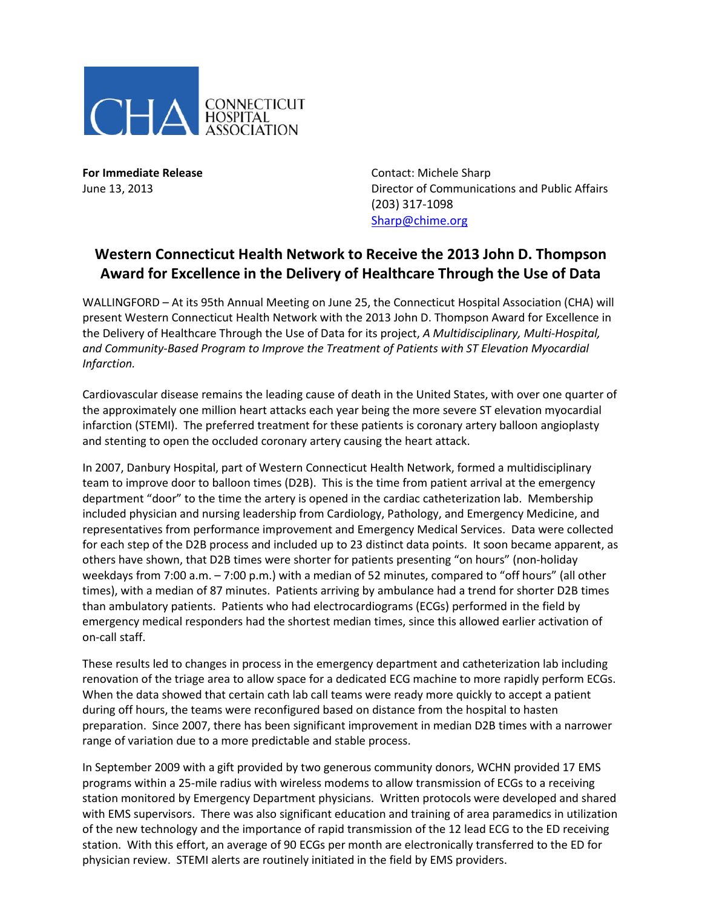

**For Immediate Release Contact: Michele Sharp** June 13, 2013 Director of Communications and Public Affairs (203) 317-1098 [Sharp@chime.org](mailto:Sharp@chime.org)

## **Western Connecticut Health Network to Receive the 2013 John D. Thompson Award for Excellence in the Delivery of Healthcare Through the Use of Data**

WALLINGFORD – At its 95th Annual Meeting on June 25, the Connecticut Hospital Association (CHA) will present Western Connecticut Health Network with the 2013 John D. Thompson Award for Excellence in the Delivery of Healthcare Through the Use of Data for its project, *A Multidisciplinary, Multi-Hospital, and Community-Based Program to Improve the Treatment of Patients with ST Elevation Myocardial Infarction.*

Cardiovascular disease remains the leading cause of death in the United States, with over one quarter of the approximately one million heart attacks each year being the more severe ST elevation myocardial infarction (STEMI). The preferred treatment for these patients is coronary artery balloon angioplasty and stenting to open the occluded coronary artery causing the heart attack.

In 2007, Danbury Hospital, part of Western Connecticut Health Network, formed a multidisciplinary team to improve door to balloon times (D2B). This is the time from patient arrival at the emergency department "door" to the time the artery is opened in the cardiac catheterization lab. Membership included physician and nursing leadership from Cardiology, Pathology, and Emergency Medicine, and representatives from performance improvement and Emergency Medical Services. Data were collected for each step of the D2B process and included up to 23 distinct data points. It soon became apparent, as others have shown, that D2B times were shorter for patients presenting "on hours" (non-holiday weekdays from 7:00 a.m. – 7:00 p.m.) with a median of 52 minutes, compared to "off hours" (all other times), with a median of 87 minutes. Patients arriving by ambulance had a trend for shorter D2B times than ambulatory patients. Patients who had electrocardiograms (ECGs) performed in the field by emergency medical responders had the shortest median times, since this allowed earlier activation of on-call staff.

These results led to changes in process in the emergency department and catheterization lab including renovation of the triage area to allow space for a dedicated ECG machine to more rapidly perform ECGs. When the data showed that certain cath lab call teams were ready more quickly to accept a patient during off hours, the teams were reconfigured based on distance from the hospital to hasten preparation. Since 2007, there has been significant improvement in median D2B times with a narrower range of variation due to a more predictable and stable process.

In September 2009 with a gift provided by two generous community donors, WCHN provided 17 EMS programs within a 25-mile radius with wireless modems to allow transmission of ECGs to a receiving station monitored by Emergency Department physicians. Written protocols were developed and shared with EMS supervisors. There was also significant education and training of area paramedics in utilization of the new technology and the importance of rapid transmission of the 12 lead ECG to the ED receiving station. With this effort, an average of 90 ECGs per month are electronically transferred to the ED for physician review. STEMI alerts are routinely initiated in the field by EMS providers.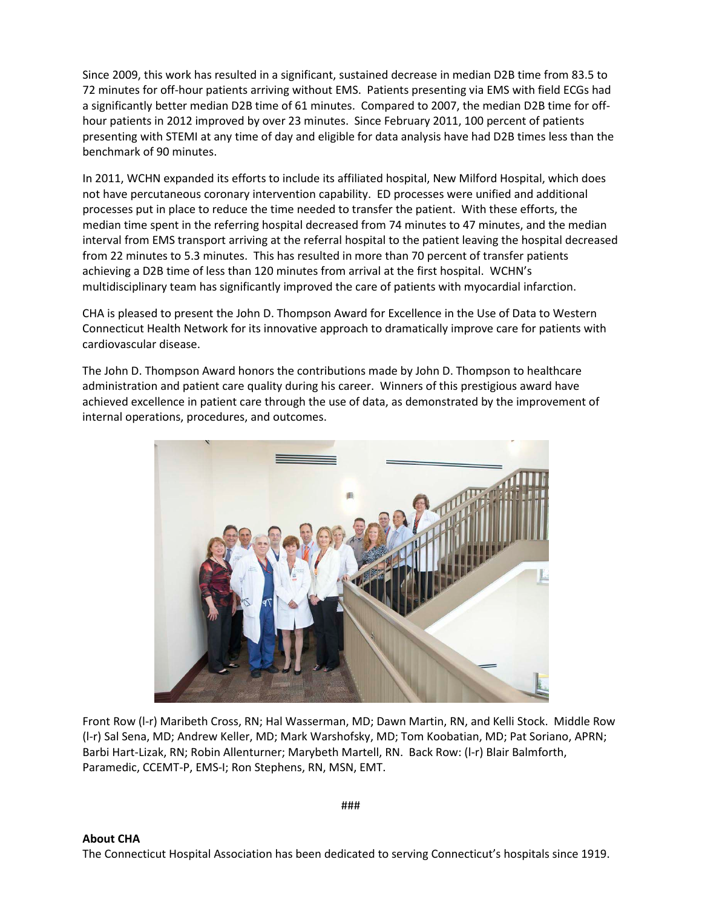Since 2009, this work has resulted in a significant, sustained decrease in median D2B time from 83.5 to 72 minutes for off-hour patients arriving without EMS. Patients presenting via EMS with field ECGs had a significantly better median D2B time of 61 minutes. Compared to 2007, the median D2B time for offhour patients in 2012 improved by over 23 minutes. Since February 2011, 100 percent of patients presenting with STEMI at any time of day and eligible for data analysis have had D2B times less than the benchmark of 90 minutes.

In 2011, WCHN expanded its efforts to include its affiliated hospital, New Milford Hospital, which does not have percutaneous coronary intervention capability. ED processes were unified and additional processes put in place to reduce the time needed to transfer the patient. With these efforts, the median time spent in the referring hospital decreased from 74 minutes to 47 minutes, and the median interval from EMS transport arriving at the referral hospital to the patient leaving the hospital decreased from 22 minutes to 5.3 minutes. This has resulted in more than 70 percent of transfer patients achieving a D2B time of less than 120 minutes from arrival at the first hospital. WCHN's multidisciplinary team has significantly improved the care of patients with myocardial infarction.

CHA is pleased to present the John D. Thompson Award for Excellence in the Use of Data to Western Connecticut Health Network for its innovative approach to dramatically improve care for patients with cardiovascular disease.

The John D. Thompson Award honors the contributions made by John D. Thompson to healthcare administration and patient care quality during his career. Winners of this prestigious award have achieved excellence in patient care through the use of data, as demonstrated by the improvement of internal operations, procedures, and outcomes.



Front Row (l-r) Maribeth Cross, RN; Hal Wasserman, MD; Dawn Martin, RN, and Kelli Stock. Middle Row (l-r) Sal Sena, MD; Andrew Keller, MD; Mark Warshofsky, MD; Tom Koobatian, MD; Pat Soriano, APRN; Barbi Hart-Lizak, RN; Robin Allenturner; Marybeth Martell, RN. Back Row: (l-r) Blair Balmforth, Paramedic, CCEMT-P, EMS-I; Ron Stephens, RN, MSN, EMT.

###